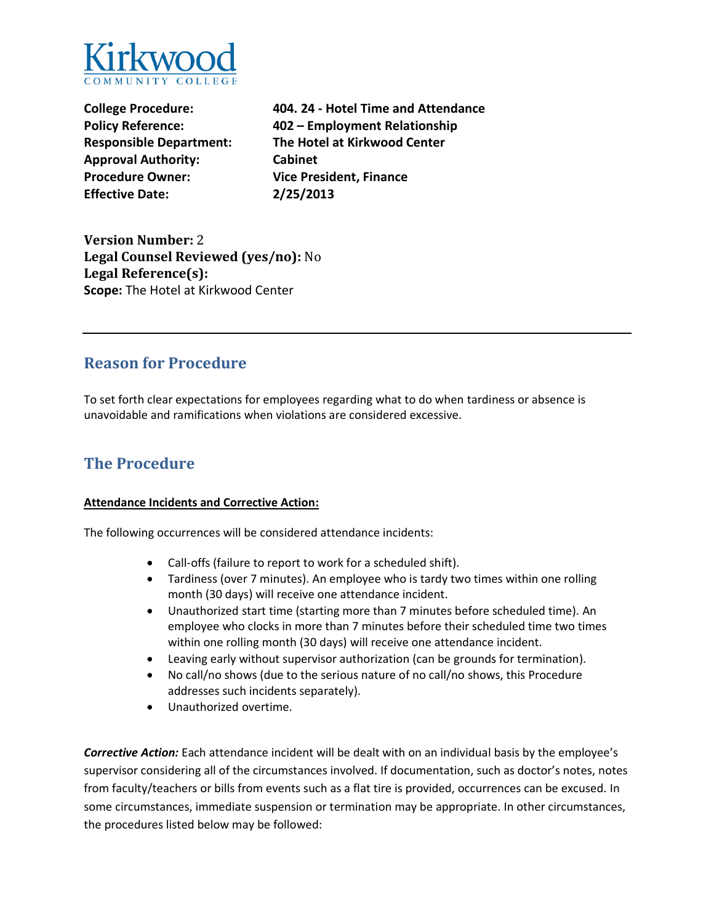

**Approval Authority: Cabinet Procedure Owner: Vice President, Finance Effective Date: 2/25/2013** 

**College Procedure: 404. 24 - Hotel Time and Attendance Policy Reference: 402 – Employment Relationship Responsible Department: The Hotel at Kirkwood Center** 

**Version Number:** 2 **Legal Counsel Reviewed (yes/no):** No **Legal Reference(s): Scope:** The Hotel at Kirkwood Center

### **Reason for Procedure**

To set forth clear expectations for employees regarding what to do when tardiness or absence is unavoidable and ramifications when violations are considered excessive.

## **The Procedure**

#### **Attendance Incidents and Corrective Action:**

The following occurrences will be considered attendance incidents:

- Call-offs (failure to report to work for a scheduled shift).
- Tardiness (over 7 minutes). An employee who is tardy two times within one rolling month (30 days) will receive one attendance incident.
- Unauthorized start time (starting more than 7 minutes before scheduled time). An employee who clocks in more than 7 minutes before their scheduled time two times within one rolling month (30 days) will receive one attendance incident.
- Leaving early without supervisor authorization (can be grounds for termination).
- No call/no shows (due to the serious nature of no call/no shows, this Procedure addresses such incidents separately).
- Unauthorized overtime.

*Corrective Action:* Each attendance incident will be dealt with on an individual basis by the employee's supervisor considering all of the circumstances involved. If documentation, such as doctor's notes, notes from faculty/teachers or bills from events such as a flat tire is provided, occurrences can be excused. In some circumstances, immediate suspension or termination may be appropriate. In other circumstances, the procedures listed below may be followed: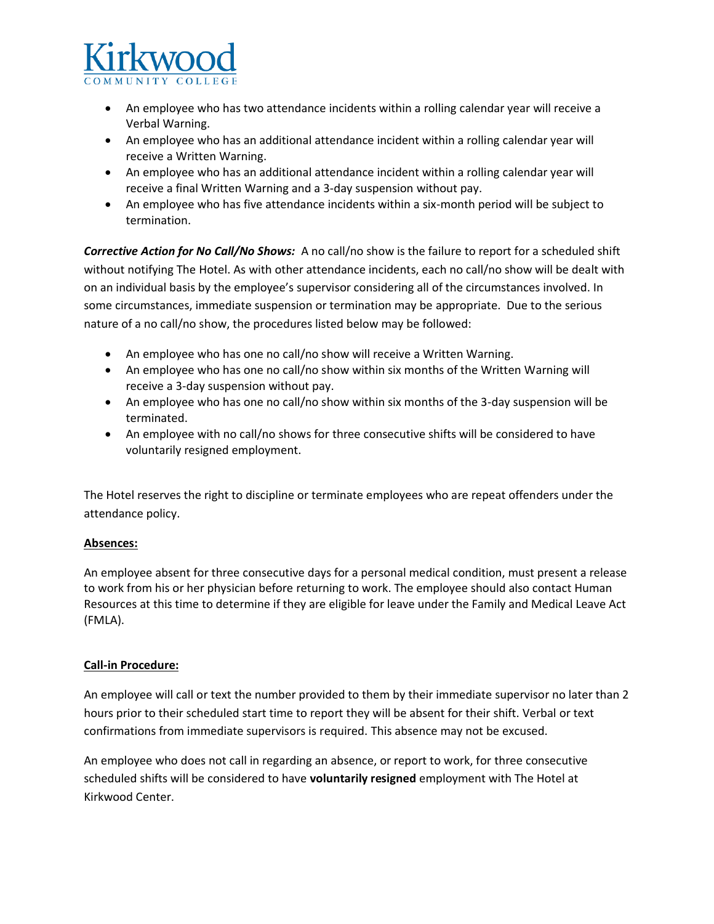

- Verbal Warning. • An employee who has two attendance incidents within a rolling calendar year will receive a
- An employee who has an additional attendance incident within a rolling calendar year will receive a Written Warning.
- An employee who has an additional attendance incident within a rolling calendar year will receive a final Written Warning and a 3-day suspension without pay.
- termination. • An employee who has five attendance incidents within a six-month period will be subject to

 *Corrective Action for No Call/No Shows:* A no call/no show is the failure to report for a scheduled shift nature of a no call/no show, the procedures listed below may be followed: without notifying The Hotel. As with other attendance incidents, each no call/no show will be dealt with on an individual basis by the employee's supervisor considering all of the circumstances involved. In some circumstances, immediate suspension or termination may be appropriate. Due to the serious

- An employee who has one no call/no show will receive a Written Warning.
- An employee who has one no call/no show within six months of the Written Warning will receive a 3-day suspension without pay.
- An employee who has one no call/no show within six months of the 3-day suspension will be terminated.
- • An employee with no call/no shows for three consecutive shifts will be considered to have voluntarily resigned employment.

The Hotel reserves the right to discipline or terminate employees who are repeat offenders under the attendance policy.

### **Absences:**

An employee absent for three consecutive days for a personal medical condition, must present a release to work from his or her physician before returning to work. The employee should also contact Human Resources at this time to determine if they are eligible for leave under the Family and Medical Leave Act (FMLA).

### **Call-in Procedure:**

An employee will call or text the number provided to them by their immediate supervisor no later than 2 hours prior to their scheduled start time to report they will be absent for their shift. Verbal or text confirmations from immediate supervisors is required. This absence may not be excused.

An employee who does not call in regarding an absence, or report to work, for three consecutive scheduled shifts will be considered to have **voluntarily resigned** employment with The Hotel at Kirkwood Center.